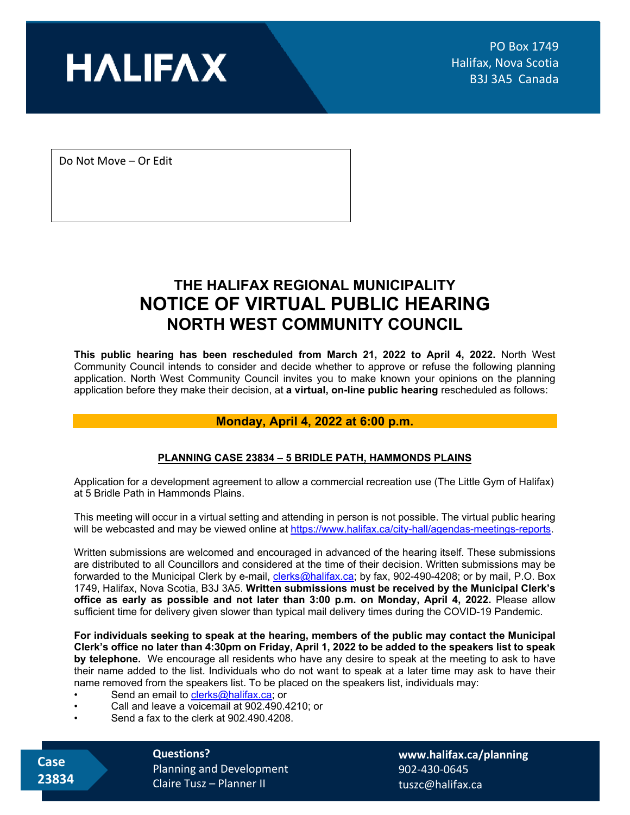

Do Not Move – Or Edit

## **THE HALIFAX REGIONAL MUNICIPALITY NOTICE OF VIRTUAL PUBLIC HEARING NORTH WEST COMMUNITY COUNCIL**

**This public hearing has been rescheduled from March 21, 2022 to April 4, 2022.** North West Community Council intends to consider and decide whether to approve or refuse the following planning application. North West Community Council invites you to make known your opinions on the planning application before they make their decision, at **a virtual, on-line public hearing** rescheduled as follows:

## **Monday, April 4, 2022 at 6:00 p.m.**

## **PLANNING CASE 23834 – 5 BRIDLE PATH, HAMMONDS PLAINS**

Application for a development agreement to allow a commercial recreation use (The Little Gym of Halifax) at 5 Bridle Path in Hammonds Plains.

This meeting will occur in a virtual setting and attending in person is not possible. The virtual public hearing will be webcasted and may be viewed online a[t https://www.halifax.ca/city-hall/agendas-meetings-reports.](https://www.halifax.ca/city-hall/agendas-meetings-reports)

Written submissions are welcomed and encouraged in advanced of the hearing itself. These submissions are distributed to all Councillors and considered at the time of their decision. Written submissions may be forwarded to the Municipal Clerk by e-mail, [clerks@halifax.ca;](file://hrm.halifax.ca/fs/common/hrmshare/Planning%20&%20Development%20Services/Planning%20Apps-Standards%20and%20Templates/COVID/Public%20Hearings/clerks@halifax.ca) by fax, 902-490-4208; or by mail, P.O. Box 1749, Halifax, Nova Scotia, B3J 3A5. **Written submissions must be received by the Municipal Clerk's office as early as possible and not later than 3:00 p.m. on Monday, April 4, 2022.** Please allow sufficient time for delivery given slower than typical mail delivery times during the COVID-19 Pandemic.

**For individuals seeking to speak at the hearing, members of the public may contact the Municipal Clerk's office no later than 4:30pm on Friday, April 1, 2022 to be added to the speakers list to speak by telephone.** We encourage all residents who have any desire to speak at the meeting to ask to have their name added to the list. Individuals who do not want to speak at a later time may ask to have their name removed from the speakers list. To be placed on the speakers list, individuals may:

- Send an email to [clerks@halifax.ca;](file://hrm.halifax.ca/fs/common/hrmshare/Planning%20&%20Development%20Services/Planning%20Apps-Standards%20and%20Templates/COVID/Public%20Hearings/clerks@halifax.ca) or
- Call and leave a voicemail at 902.490.4210; or
- Send a fax to the clerk at 902.490.4208.

 **Case 23834** **Questions?**  Planning and Development Claire Tusz – Planner II

**[www.halifax.ca/planning](http://www.halifax.ca/planning)** 902-430-0645 tuszc@halifax.ca